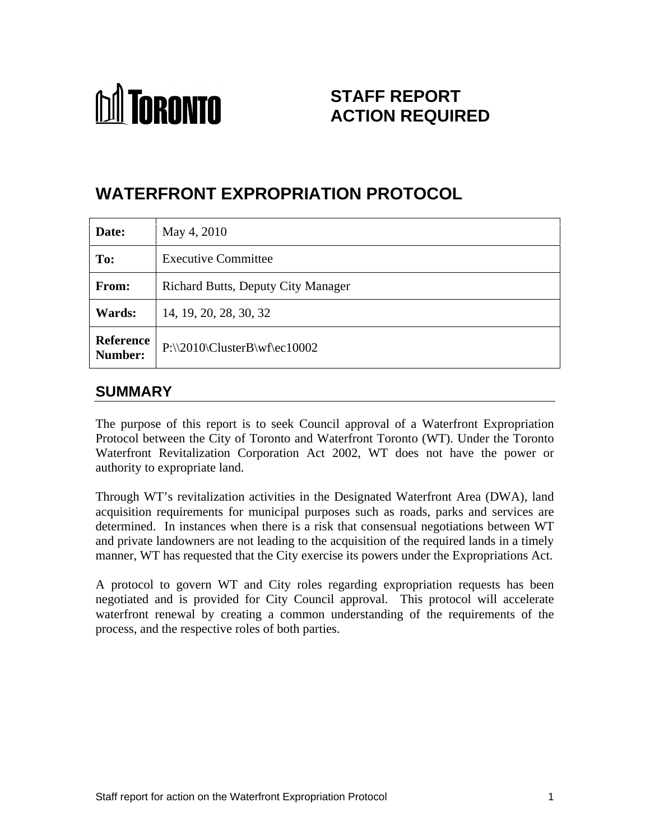# **M** TORONTO

# **STAFF REPORT ACTION REQUIRED**

# **WATERFRONT EXPROPRIATION PROTOCOL**

| Date:         | May 4, 2010                               |
|---------------|-------------------------------------------|
| To:           | Executive Committee                       |
| From:         | Richard Butts, Deputy City Manager        |
| <b>Wards:</b> | 14, 19, 20, 28, 30, 32                    |
|               | Reference<br>P:\\2010\ClusterB\wf\ec10002 |

## **SUMMARY**

The purpose of this report is to seek Council approval of a Waterfront Expropriation Protocol between the City of Toronto and Waterfront Toronto (WT). Under the Toronto Waterfront Revitalization Corporation Act 2002, WT does not have the power or authority to expropriate land.

Through WT's revitalization activities in the Designated Waterfront Area (DWA), land acquisition requirements for municipal purposes such as roads, parks and services are determined. In instances when there is a risk that consensual negotiations between WT and private landowners are not leading to the acquisition of the required lands in a timely

manner, WT has requested that the City exercise its powers under the Expropriations Act.<br>A protocol to govern WT and City roles regarding expropriation requests has been negotiated and is provided for City Council approval. This protocol will accelerate waterfront renewal by creating a common understanding of the requirements of the process, and the respective roles of both parties.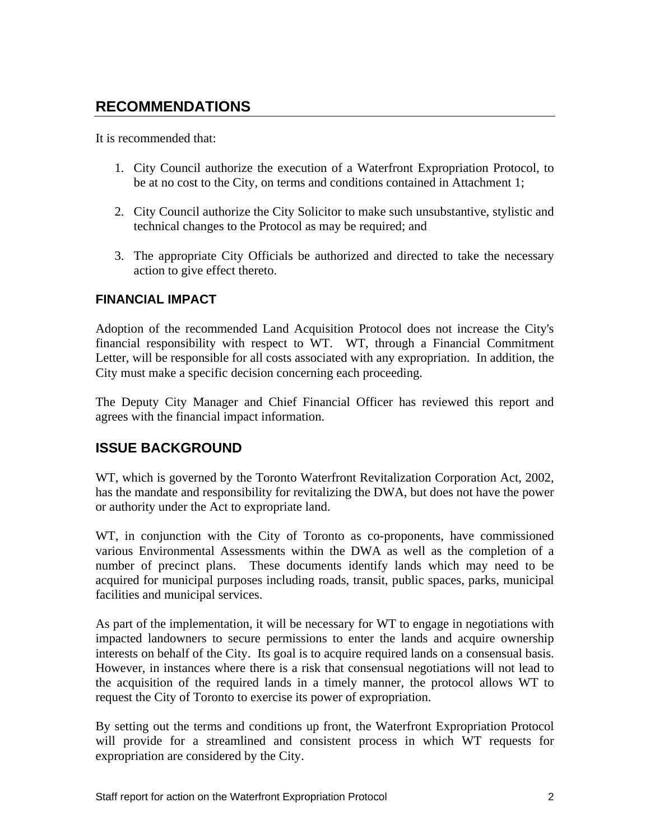# **RECOMMENDATIONS**

It is recommended that:

- 1. City Council authorize the execution of a Waterfront Expropriation Protocol, to be at no cost to the City, on terms and conditions contained in Attachment 1;
- 2. City Council authorize the City Solicitor to make such unsubstantive, stylistic and technical changes to the Protocol as may be required; and
- 3. The appropriate City Officials be authorized and directed to take the necessary action to give effect thereto.

#### **FINANCIAL IMPACT**

Adoption of the recommended Land Acquisition Protocol does not increase the City's financial responsibility with respect to WT. WT, through a Financial Commitment Letter, will be responsible for all costs associated with any expropriation. In addition, the City must make a specific decision concerning each proceeding.

The Deputy City Manager and Chief Financial Officer has reviewed this report and agrees with the financial impact information.

# **ISSUE BACKGROUND**

WT, which is governed by the Toronto Waterfront Revitalization Corporation Act, 2002, has the mandate and responsibility for revitalizing the DWA, but does not have the power

or authority under the Act to expropriate land. WT, in conjunction with the City of Toronto as co-proponents, have commissioned various Environmental Assessments within the DWA as well as the completion of a number of precinct plans. These documents identify lands which may need to be acquired for municipal purposes including roads, transit, public spaces, parks, municipal

facilities and municipal services.<br>As part of the implementation, it will be necessary for WT to engage in negotiations with impacted landowners to secure permissions to enter the lands and acquire ownership interests on behalf of the City. Its goal is to acquire required lands on a consensual basis. However, in instances where there is <sup>a</sup> risk that consensual negotiations will not lead to the acquisition of the required lands in a timely manner, the protocol allows WT to request the City of Toronto to exercise its power of expropriation.

By setting out the terms and conditions up front, the Waterfront Expropriation Protocol will provide for a streamlined and consistent process in which WT requests for expropriation are considered by the City.